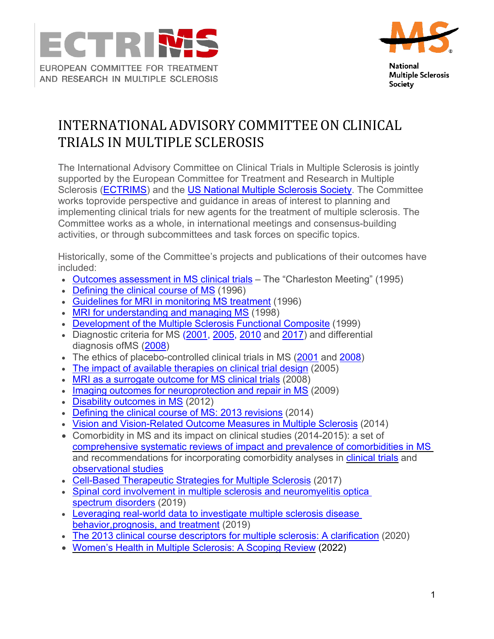



**National Multiple Sclerosis Society** 

## INTERNATIONAL ADVISORY COMMITTEE ON CLINICAL TRIALS IN MULTIPLE SCLEROSIS

The International Advisory Committee on Clinical Trials in Multiple Sclerosis is jointly supported by the European Committee for Treatment and Research in Multiple Sclerosis [\(ECTRIMS\)](https://www.ectrims.eu/) and the [US National Multiple Sclerosis Society.](http://www.nmss.org/) The Committee works toprovide perspective and guidance in areas of interest to planning and implementing clinical trials for new agents for the treatment of multiple sclerosis. The Committee works as a whole, in international meetings and consensus-building activities, or through subcommittees and task forces on specific topics.

Historically, some of the Committee's projects and publications of their outcomes have included:

- Outcomes [assessment](http://www.ncbi.nlm.nih.gov/pubmed/9345468?ordinalpos=143&itool=EntrezSystem2.PEntrez.Pubmed.Pubmed_ResultsPanel.Pubmed_DefaultReportPanel.Pubmed_RVDocSum) in MS clinical trials The "Charleston Meeting" (1995)
- [Defining](http://www.ncbi.nlm.nih.gov/pubmed/8780061?ordinalpos=9&itool=EntrezSystem2.PEntrez.Pubmed.Pubmed_ResultsPanel.Pubmed_DefaultReportPanel.Pubmed_RVDocSum) the clinical course of MS (1996)
- [Guidelines](http://www.ncbi.nlm.nih.gov/pubmed/8572668) for MRI in monitoring MS treatment (1996)
- MRI for [understanding](http://www.ncbi.nlm.nih.gov/pubmed/9549485?ordinalpos=19&itool=EntrezSystem2.PEntrez.Pubmed.Pubmed_ResultsPanel.Pubmed_DefaultReportPanel.Pubmed_RVDocSum) and managing MS (1998)
- [Development](http://www.ncbi.nlm.nih.gov/pubmed/9307263?ordinalpos=4&itool=EntrezSystem2.PEntrez.Pubmed.Pubmed_ResultsPanel.Pubmed_DefaultReportPanel.Pubmed_RVDocSum) of the Multiple Sclerosis Functional Composite (1999)
- Diagnostic criteria for MS [\(2001,](http://www.ncbi.nlm.nih.gov/pubmed/11456302?ordinalpos=14&itool=EntrezSystem2.PEntrez.Pubmed.Pubmed_ResultsPanel.Pubmed_DefaultReportPanel.Pubmed_RVDocSum) [2005,](http://www.ncbi.nlm.nih.gov/pubmed/16283615?ordinalpos=10&itool=EntrezSystem2.PEntrez.Pubmed.Pubmed_ResultsPanel.Pubmed_DefaultReportPanel.Pubmed_RVDocSum) [2010](http://www.ncbi.nlm.nih.gov/pubmed/21387374) and [2017\)](http://www.thelancet.com/pdfs/journals/laneur/PIIS1474-4422(17)30470-2.pdf) and differential diagnosis ofMS [\(2008\)](http://www.ncbi.nlm.nih.gov/pubmed/18805839?ordinalpos=4&itool=EntrezSystem2.PEntrez.Pubmed.Pubmed_ResultsPanel.Pubmed_DefaultReportPanel.Pubmed_RVDocSum)
- The ethics of placebo-controlled clinical trials in MS [\(2001](http://www.ncbi.nlm.nih.gov/pubmed/11357961?ordinalpos=15&itool=EntrezSystem2.PEntrez.Pubmed.Pubmed_ResultsPanel.Pubmed_DefaultReportPanel.Pubmed_RVDocSum) and [2008\)](http://www.ncbi.nlm.nih.gov/pubmed/18362273?ordinalpos=7&itool=EntrezSystem2.PEntrez.Pubmed.Pubmed_ResultsPanel.Pubmed_DefaultReportPanel.Pubmed_RVDocSum)
- The impact of available [therapies](http://www.ncbi.nlm.nih.gov/pubmed/16320726?ordinalpos=9&itool=EntrezSystem2.PEntrez.Pubmed.Pubmed_ResultsPanel.Pubmed_DefaultReportPanel.Pubmed_RVDocSum) on clinical trial design (2005)
- MRI as a [surrogate](http://www.ncbi.nlm.nih.gov/pubmed/18535021?ordinalpos=6&itool=EntrezSystem2.PEntrez.Pubmed.Pubmed_ResultsPanel.Pubmed_DefaultReportPanel.Pubmed_RVDocSum) outcome for MS clinical trials (2008)
- Imaging outcomes for [neuroprotection](http://www.ncbi.nlm.nih.gov/pubmed/19488083?ordinalpos=2&itool=EntrezSystem2.PEntrez.Pubmed.Pubmed_ResultsPanel.Pubmed_DefaultReportPanel.Pubmed_RVDocSum) and repair in MS (2009)
- Disability [outcomes](http://www.ncbi.nlm.nih.gov/pubmed/22516081) in MS (2012)
- Defining the clinical course of MS: 2013 [revisions](http://www.neurology.org/content/early/2014/05/28/WNL.0000000000000560.short?rss=1) (2014)
- Vision and [Vision-Related](http://brain.oxfordjournals.org/content/early/2014/11/27/brain.awu335) Outcome Measures in Multiple Sclerosis (2014)
- Comorbidity in MS and its impact on clinical studies (2014-2015): a set of [comprehensive systematic reviews of impact and prevalence of comorbidities in](http://msj.sagepub.com/content/21/3.toc) [MS](http://msj.sagepub.com/content/21/3.toc) and recommendations for incorporating comorbidity analyses in [clinical](http://www.neurology.org/content/early/2016/02/17/WNL.0000000000002471.full.pdf%2Bhtml) [trials](http://www.neurology.org/content/early/2016/02/17/WNL.0000000000002471.full.pdf%2Bhtml) and [observational](http://www.neurology.org/content/early/2016/02/10/WNL.0000000000002474.full.pdf%2Bhtml) studies
- Cell-Based [Therapeutic](https://www.ectrims.eu/wp-content/uploads/2013/04/2017-Scolding-NJ-et-al-Cell-Based-Therapeutic-Strategies-for-MS-Brain-2017.pdf) Strategies for Multiple Sclerosis (2017)
- Spinal cord involvement in multiple sclerosis and neuromyelitis optica spectrum disorders (2019)
- [Leveraging real-world data to investigate multiple sclerosis disease](https://doi.org/10.1177/1352458519892555) [behavior,prognosis, and](https://doi.org/10.1177/1352458519892555) treatment (2019)
- The 2013 clinical course descriptors for multiple sclerosis: A [clarification](https://doi.org/10.1212/WNL.0000000000009636) (2020)
- Women's Health [in Multiple Sclerosis: A Scoping Review](https://doi.org/10.3389/fneur.2021.812147) (2022)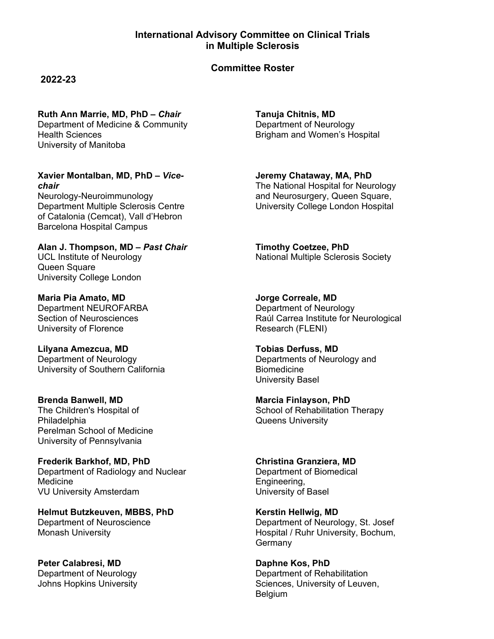## **International Advisory Committee on Clinical Trials in Multiple Sclerosis**

## **Committee Roster**

**2022-23**

**Ruth Ann Marrie, MD, PhD –** *Chair*

Department of Medicine & Community Health Sciences University of Manitoba

**Xavier Montalban, MD, PhD –** *Vicechair* Neurology-Neuroimmunology Department Multiple Sclerosis Centre of Catalonia (Cemcat), Vall d'Hebron Barcelona Hospital Campus

**Alan J. Thompson, MD –** *Past Chair* UCL Institute of Neurology Queen Square University College London

**Maria Pia Amato, MD**  Department NEUROFARBA Section of Neurosciences University of Florence

**Lilyana Amezcua, MD** Department of Neurology University of Southern California

**Brenda Banwell, MD** The Children's Hospital of **Philadelphia** Perelman School of Medicine University of Pennsylvania

**Frederik Barkhof, MD, PhD** Department of Radiology and Nuclear Medicine VU University Amsterdam

**Helmut Butzkeuven, MBBS, PhD** Department of Neuroscience Monash University

**Peter Calabresi, MD** Department of Neurology Johns Hopkins University

**Tanuja Chitnis, MD**  Department of Neurology Brigham and Women's Hospital

**Jeremy Chataway, MA, PhD** The National Hospital for Neurology and Neurosurgery, Queen Square, University College London Hospital

**Timothy Coetzee, PhD**  National Multiple Sclerosis Society

**Jorge Correale, MD** Department of Neurology Raúl Carrea Institute for Neurological Research (FLENI)

**Tobias Derfuss, MD**  Departments of Neurology and Biomedicine University Basel

**Marcia Finlayson, PhD** School of Rehabilitation Therapy Queens University

**Christina Granziera, MD** Department of Biomedical Engineering, University of Basel

**Kerstin Hellwig, MD** Department of Neurology, St. Josef Hospital / Ruhr University, Bochum, Germany

**Daphne Kos, PhD** Department of Rehabilitation Sciences, University of Leuven, Belgium